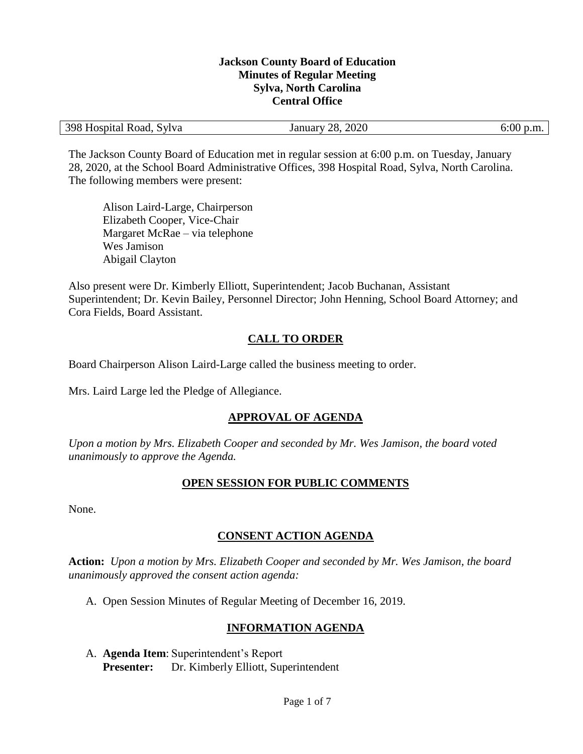#### **Jackson County Board of Education Minutes of Regular Meeting Sylva, North Carolina Central Office**

| 398 Hospital Road,<br>. Svlva | 2020<br>28.<br>January <sup>1</sup> | 6:00 p.m. |
|-------------------------------|-------------------------------------|-----------|
|-------------------------------|-------------------------------------|-----------|

The Jackson County Board of Education met in regular session at 6:00 p.m. on Tuesday, January 28, 2020, at the School Board Administrative Offices, 398 Hospital Road, Sylva, North Carolina. The following members were present:

Alison Laird-Large, Chairperson Elizabeth Cooper, Vice-Chair Margaret McRae – via telephone Wes Jamison Abigail Clayton

Also present were Dr. Kimberly Elliott, Superintendent; Jacob Buchanan, Assistant Superintendent; Dr. Kevin Bailey, Personnel Director; John Henning, School Board Attorney; and Cora Fields, Board Assistant.

# **CALL TO ORDER**

Board Chairperson Alison Laird-Large called the business meeting to order.

Mrs. Laird Large led the Pledge of Allegiance.

## **APPROVAL OF AGENDA**

*Upon a motion by Mrs. Elizabeth Cooper and seconded by Mr. Wes Jamison, the board voted unanimously to approve the Agenda.*

#### **OPEN SESSION FOR PUBLIC COMMENTS**

None.

## **CONSENT ACTION AGENDA**

**Action:** *Upon a motion by Mrs. Elizabeth Cooper and seconded by Mr. Wes Jamison, the board unanimously approved the consent action agenda:*

A. Open Session Minutes of Regular Meeting of December 16, 2019.

## **INFORMATION AGENDA**

A. **Agenda Item**: Superintendent's Report **Presenter:** Dr. Kimberly Elliott, Superintendent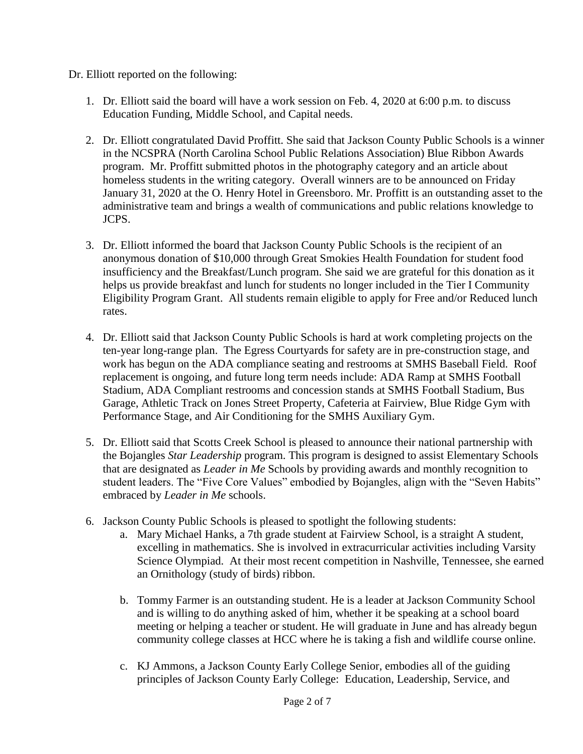## Dr. Elliott reported on the following:

- 1. Dr. Elliott said the board will have a work session on Feb. 4, 2020 at 6:00 p.m. to discuss Education Funding, Middle School, and Capital needs.
- 2. Dr. Elliott congratulated David Proffitt. She said that Jackson County Public Schools is a winner in the NCSPRA (North Carolina School Public Relations Association) Blue Ribbon Awards program. Mr. Proffitt submitted photos in the photography category and an article about homeless students in the writing category. Overall winners are to be announced on Friday January 31, 2020 at the O. Henry Hotel in Greensboro. Mr. Proffitt is an outstanding asset to the administrative team and brings a wealth of communications and public relations knowledge to JCPS.
- 3. Dr. Elliott informed the board that Jackson County Public Schools is the recipient of an anonymous donation of \$10,000 through Great Smokies Health Foundation for student food insufficiency and the Breakfast/Lunch program. She said we are grateful for this donation as it helps us provide breakfast and lunch for students no longer included in the Tier I Community Eligibility Program Grant. All students remain eligible to apply for Free and/or Reduced lunch rates.
- 4. Dr. Elliott said that Jackson County Public Schools is hard at work completing projects on the ten-year long-range plan. The Egress Courtyards for safety are in pre-construction stage, and work has begun on the ADA compliance seating and restrooms at SMHS Baseball Field. Roof replacement is ongoing, and future long term needs include: ADA Ramp at SMHS Football Stadium, ADA Compliant restrooms and concession stands at SMHS Football Stadium, Bus Garage, Athletic Track on Jones Street Property, Cafeteria at Fairview, Blue Ridge Gym with Performance Stage, and Air Conditioning for the SMHS Auxiliary Gym.
- 5. Dr. Elliott said that Scotts Creek School is pleased to announce their national partnership with the Bojangles *Star Leadership* program. This program is designed to assist Elementary Schools that are designated as *Leader in Me* Schools by providing awards and monthly recognition to student leaders. The "Five Core Values" embodied by Bojangles, align with the "Seven Habits" embraced by *Leader in Me* schools.
- 6. Jackson County Public Schools is pleased to spotlight the following students:
	- a. Mary Michael Hanks, a 7th grade student at Fairview School, is a straight A student, excelling in mathematics. She is involved in extracurricular activities including Varsity Science Olympiad. At their most recent competition in Nashville, Tennessee, she earned an Ornithology (study of birds) ribbon.
	- b. Tommy Farmer is an outstanding student. He is a leader at Jackson Community School and is willing to do anything asked of him, whether it be speaking at a school board meeting or helping a teacher or student. He will graduate in June and has already begun community college classes at HCC where he is taking a fish and wildlife course online.
	- c. KJ Ammons, a Jackson County Early College Senior, embodies all of the guiding principles of Jackson County Early College: Education, Leadership, Service, and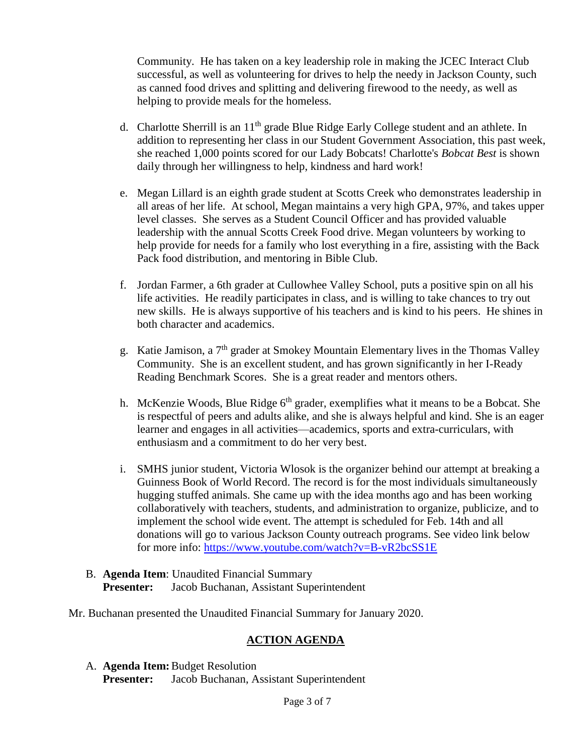Community. He has taken on a key leadership role in making the JCEC Interact Club successful, as well as volunteering for drives to help the needy in Jackson County, such as canned food drives and splitting and delivering firewood to the needy, as well as helping to provide meals for the homeless.

- d. Charlotte Sherrill is an  $11<sup>th</sup>$  grade Blue Ridge Early College student and an athlete. In addition to representing her class in our Student Government Association, this past week, she reached 1,000 points scored for our Lady Bobcats! Charlotte's *Bobcat Best* is shown daily through her willingness to help, kindness and hard work!
- e. Megan Lillard is an eighth grade student at Scotts Creek who demonstrates leadership in all areas of her life. At school, Megan maintains a very high GPA, 97%, and takes upper level classes. She serves as a Student Council Officer and has provided valuable leadership with the annual Scotts Creek Food drive. Megan volunteers by working to help provide for needs for a family who lost everything in a fire, assisting with the Back Pack food distribution, and mentoring in Bible Club.
- f. Jordan Farmer, a 6th grader at Cullowhee Valley School, puts a positive spin on all his life activities. He readily participates in class, and is willing to take chances to try out new skills. He is always supportive of his teachers and is kind to his peers. He shines in both character and academics.
- g. Katie Jamison, a 7th grader at Smokey Mountain Elementary lives in the Thomas Valley Community. She is an excellent student, and has grown significantly in her I-Ready Reading Benchmark Scores. She is a great reader and mentors others.
- h. McKenzie Woods, Blue Ridge  $6<sup>th</sup>$  grader, exemplifies what it means to be a Bobcat. She is respectful of peers and adults alike, and she is always helpful and kind. She is an eager learner and engages in all activities—academics, sports and extra-curriculars, with enthusiasm and a commitment to do her very best.
- i. SMHS junior student, Victoria Wlosok is the organizer behind our attempt at breaking a Guinness Book of World Record. The record is for the most individuals simultaneously hugging stuffed animals. She came up with the idea months ago and has been working collaboratively with teachers, students, and administration to organize, publicize, and to implement the school wide event. The attempt is scheduled for Feb. 14th and all donations will go to various Jackson County outreach programs. See video link below for more info:<https://www.youtube.com/watch?v=B-vR2bcSS1E>
- B. **Agenda Item**: Unaudited Financial Summary **Presenter:** Jacob Buchanan, Assistant Superintendent
- Mr. Buchanan presented the Unaudited Financial Summary for January 2020.

# **ACTION AGENDA**

A. **Agenda Item:**Budget Resolution **Presenter:** Jacob Buchanan, Assistant Superintendent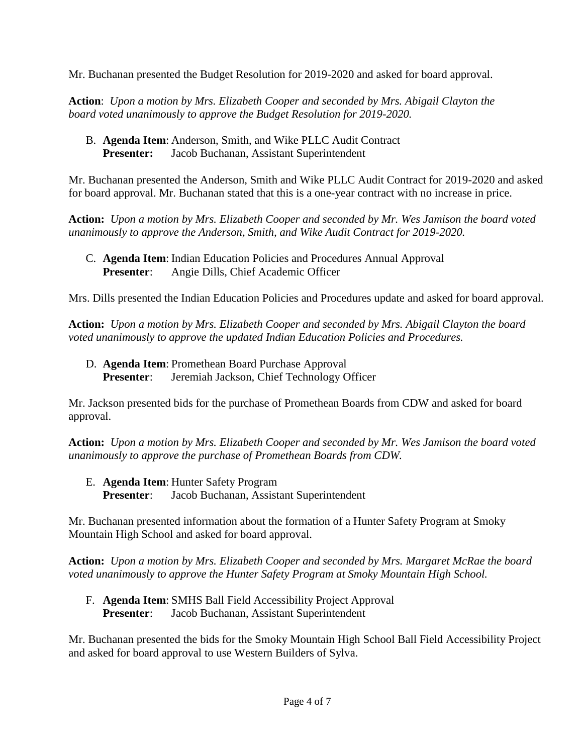Mr. Buchanan presented the Budget Resolution for 2019-2020 and asked for board approval.

**Action**: *Upon a motion by Mrs. Elizabeth Cooper and seconded by Mrs. Abigail Clayton the board voted unanimously to approve the Budget Resolution for 2019-2020.*

B. **Agenda Item**: Anderson, Smith, and Wike PLLC Audit Contract **Presenter:** Jacob Buchanan, Assistant Superintendent

Mr. Buchanan presented the Anderson, Smith and Wike PLLC Audit Contract for 2019-2020 and asked for board approval. Mr. Buchanan stated that this is a one-year contract with no increase in price.

**Action:** *Upon a motion by Mrs. Elizabeth Cooper and seconded by Mr. Wes Jamison the board voted unanimously to approve the Anderson, Smith, and Wike Audit Contract for 2019-2020.*

C. **Agenda Item**: Indian Education Policies and Procedures Annual Approval **Presenter**: Angie Dills, Chief Academic Officer

Mrs. Dills presented the Indian Education Policies and Procedures update and asked for board approval.

**Action:** *Upon a motion by Mrs. Elizabeth Cooper and seconded by Mrs. Abigail Clayton the board voted unanimously to approve the updated Indian Education Policies and Procedures.*

D. **Agenda Item**: Promethean Board Purchase Approval **Presenter**: Jeremiah Jackson, Chief Technology Officer

Mr. Jackson presented bids for the purchase of Promethean Boards from CDW and asked for board approval.

**Action:** *Upon a motion by Mrs. Elizabeth Cooper and seconded by Mr. Wes Jamison the board voted unanimously to approve the purchase of Promethean Boards from CDW.*

- E. **Agenda Item**: Hunter Safety Program
	- **Presenter**: Jacob Buchanan, Assistant Superintendent

Mr. Buchanan presented information about the formation of a Hunter Safety Program at Smoky Mountain High School and asked for board approval.

**Action:** *Upon a motion by Mrs. Elizabeth Cooper and seconded by Mrs. Margaret McRae the board voted unanimously to approve the Hunter Safety Program at Smoky Mountain High School.*

F. **Agenda Item**: SMHS Ball Field Accessibility Project Approval **Presenter**: Jacob Buchanan, Assistant Superintendent

Mr. Buchanan presented the bids for the Smoky Mountain High School Ball Field Accessibility Project and asked for board approval to use Western Builders of Sylva.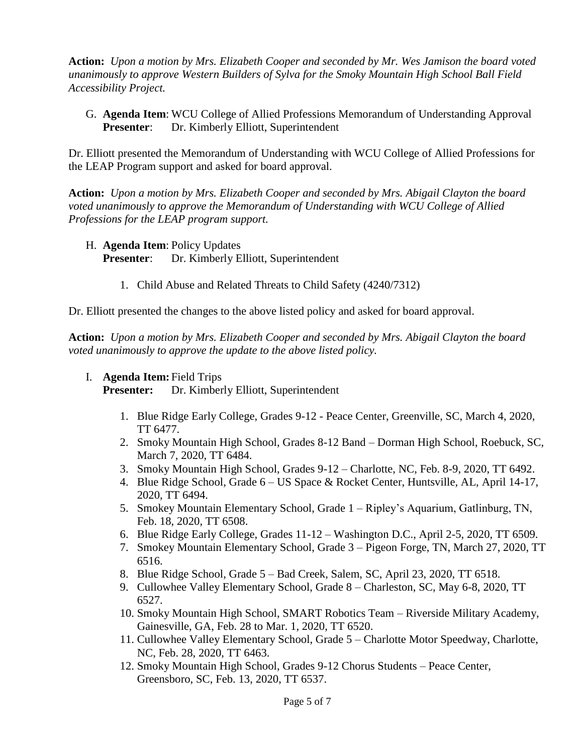**Action:** *Upon a motion by Mrs. Elizabeth Cooper and seconded by Mr. Wes Jamison the board voted unanimously to approve Western Builders of Sylva for the Smoky Mountain High School Ball Field Accessibility Project.*

G. **Agenda Item**: WCU College of Allied Professions Memorandum of Understanding Approval **Presenter**: Dr. Kimberly Elliott, Superintendent

Dr. Elliott presented the Memorandum of Understanding with WCU College of Allied Professions for the LEAP Program support and asked for board approval.

**Action:** *Upon a motion by Mrs. Elizabeth Cooper and seconded by Mrs. Abigail Clayton the board voted unanimously to approve the Memorandum of Understanding with WCU College of Allied Professions for the LEAP program support.*

- H. **Agenda Item**: Policy Updates **Presenter**: Dr. Kimberly Elliott, Superintendent
	- 1. Child Abuse and Related Threats to Child Safety (4240/7312)

Dr. Elliott presented the changes to the above listed policy and asked for board approval.

**Action:** *Upon a motion by Mrs. Elizabeth Cooper and seconded by Mrs. Abigail Clayton the board voted unanimously to approve the update to the above listed policy.*

I. **Agenda Item:** Field Trips

**Presenter:** Dr. Kimberly Elliott, Superintendent

- 1. Blue Ridge Early College, Grades 9-12 Peace Center, Greenville, SC, March 4, 2020, TT 6477.
- 2. Smoky Mountain High School, Grades 8-12 Band Dorman High School, Roebuck, SC, March 7, 2020, TT 6484.
- 3. Smoky Mountain High School, Grades 9-12 Charlotte, NC, Feb. 8-9, 2020, TT 6492.
- 4. Blue Ridge School, Grade 6 US Space & Rocket Center, Huntsville, AL, April 14-17, 2020, TT 6494.
- 5. Smokey Mountain Elementary School, Grade 1 Ripley's Aquarium, Gatlinburg, TN, Feb. 18, 2020, TT 6508.
- 6. Blue Ridge Early College, Grades 11-12 Washington D.C., April 2-5, 2020, TT 6509.
- 7. Smokey Mountain Elementary School, Grade 3 Pigeon Forge, TN, March 27, 2020, TT 6516.
- 8. Blue Ridge School, Grade 5 Bad Creek, Salem, SC, April 23, 2020, TT 6518.
- 9. Cullowhee Valley Elementary School, Grade 8 Charleston, SC, May 6-8, 2020, TT 6527.
- 10. Smoky Mountain High School, SMART Robotics Team Riverside Military Academy, Gainesville, GA, Feb. 28 to Mar. 1, 2020, TT 6520.
- 11. Cullowhee Valley Elementary School, Grade 5 Charlotte Motor Speedway, Charlotte, NC, Feb. 28, 2020, TT 6463.
- 12. Smoky Mountain High School, Grades 9-12 Chorus Students Peace Center, Greensboro, SC, Feb. 13, 2020, TT 6537.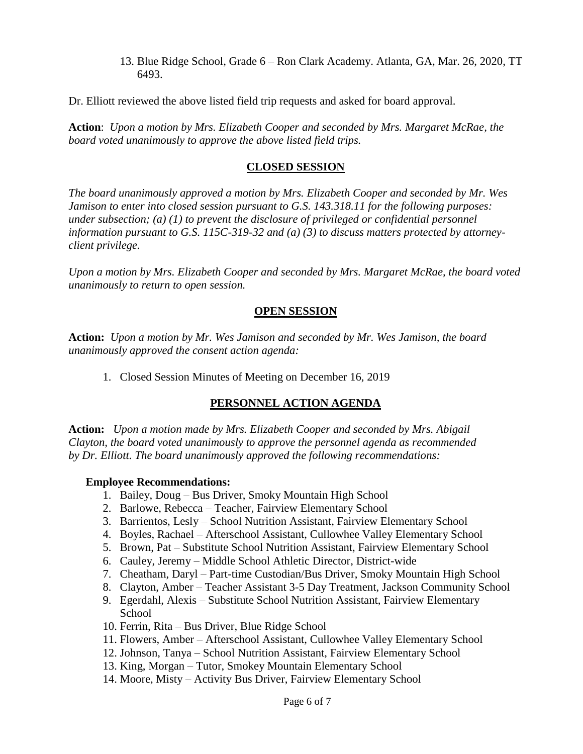13. Blue Ridge School, Grade 6 – Ron Clark Academy. Atlanta, GA, Mar. 26, 2020, TT 6493.

Dr. Elliott reviewed the above listed field trip requests and asked for board approval.

**Action**: *Upon a motion by Mrs. Elizabeth Cooper and seconded by Mrs. Margaret McRae, the board voted unanimously to approve the above listed field trips.*

#### **CLOSED SESSION**

*The board unanimously approved a motion by Mrs. Elizabeth Cooper and seconded by Mr. Wes Jamison to enter into closed session pursuant to G.S. 143.318.11 for the following purposes: under subsection; (a) (1) to prevent the disclosure of privileged or confidential personnel information pursuant to G.S. 115C-319-32 and (a) (3) to discuss matters protected by attorneyclient privilege.* 

*Upon a motion by Mrs. Elizabeth Cooper and seconded by Mrs. Margaret McRae, the board voted unanimously to return to open session.*

## **OPEN SESSION**

**Action:** *Upon a motion by Mr. Wes Jamison and seconded by Mr. Wes Jamison, the board unanimously approved the consent action agenda:*

1. Closed Session Minutes of Meeting on December 16, 2019

## **PERSONNEL ACTION AGENDA**

**Action:** *Upon a motion made by Mrs. Elizabeth Cooper and seconded by Mrs. Abigail Clayton, the board voted unanimously to approve the personnel agenda as recommended by Dr. Elliott. The board unanimously approved the following recommendations:*

#### **Employee Recommendations:**

- 1. Bailey, Doug Bus Driver, Smoky Mountain High School
- 2. Barlowe, Rebecca Teacher, Fairview Elementary School
- 3. Barrientos, Lesly School Nutrition Assistant, Fairview Elementary School
- 4. Boyles, Rachael Afterschool Assistant, Cullowhee Valley Elementary School
- 5. Brown, Pat Substitute School Nutrition Assistant, Fairview Elementary School
- 6. Cauley, Jeremy Middle School Athletic Director, District-wide
- 7. Cheatham, Daryl Part-time Custodian/Bus Driver, Smoky Mountain High School
- 8. Clayton, Amber Teacher Assistant 3-5 Day Treatment, Jackson Community School
- 9. Egerdahl, Alexis Substitute School Nutrition Assistant, Fairview Elementary **School**
- 10. Ferrin, Rita Bus Driver, Blue Ridge School
- 11. Flowers, Amber Afterschool Assistant, Cullowhee Valley Elementary School
- 12. Johnson, Tanya School Nutrition Assistant, Fairview Elementary School
- 13. King, Morgan Tutor, Smokey Mountain Elementary School
- 14. Moore, Misty Activity Bus Driver, Fairview Elementary School